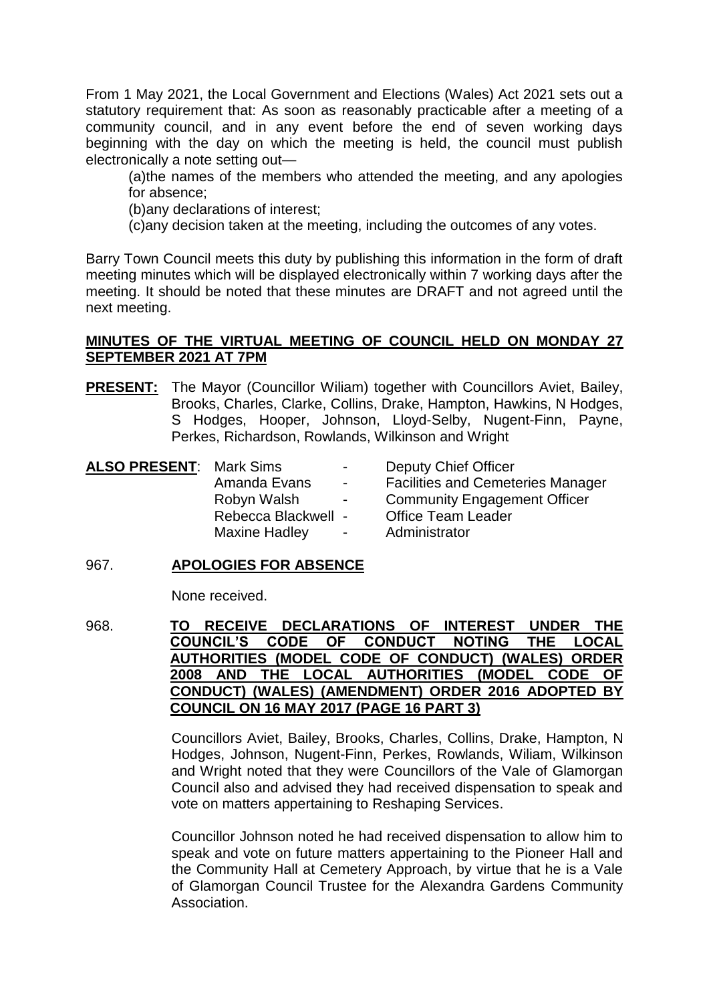From 1 May 2021, the Local Government and Elections (Wales) Act 2021 sets out a statutory requirement that: As soon as reasonably practicable after a meeting of a community council, and in any event before the end of seven working days beginning with the day on which the meeting is held, the council must publish electronically a note setting out—

(a)the names of the members who attended the meeting, and any apologies for absence;

(b)any declarations of interest;

(c)any decision taken at the meeting, including the outcomes of any votes.

Barry Town Council meets this duty by publishing this information in the form of draft meeting minutes which will be displayed electronically within 7 working days after the meeting. It should be noted that these minutes are DRAFT and not agreed until the next meeting.

# **MINUTES OF THE VIRTUAL MEETING OF COUNCIL HELD ON MONDAY 27 SEPTEMBER 2021 AT 7PM**

**PRESENT:** The Mayor (Councillor Wiliam) together with Councillors Aviet, Bailey, Brooks, Charles, Clarke, Collins, Drake, Hampton, Hawkins, N Hodges, S Hodges, Hooper, Johnson, Lloyd-Selby, Nugent-Finn, Payne, Perkes, Richardson, Rowlands, Wilkinson and Wright

| <b>ALSO PRESENT: Mark Sims</b> |                     | $\sim 100$                   | Deputy Chief Officer                     |
|--------------------------------|---------------------|------------------------------|------------------------------------------|
|                                | Amanda Evans        | $\sim 100$                   | <b>Facilities and Cemeteries Manager</b> |
|                                | Robyn Walsh         | $\sim$ 100 $\sim$ 100 $\sim$ | <b>Community Engagement Officer</b>      |
|                                | Rebecca Blackwell - |                              | <b>Office Team Leader</b>                |
|                                | Maxine Hadley       | $\sim$ $ \sim$               | Administrator                            |
|                                |                     |                              |                                          |

# 967. **APOLOGIES FOR ABSENCE**

None received.

968. **TO RECEIVE DECLARATIONS OF INTEREST UNDER THE COUNCIL'S CODE OF CONDUCT NOTING THE LOCAL AUTHORITIES (MODEL CODE OF CONDUCT) (WALES) ORDER 2008 AND THE LOCAL AUTHORITIES (MODEL CODE OF CONDUCT) (WALES) (AMENDMENT) ORDER 2016 ADOPTED BY COUNCIL ON 16 MAY 2017 (PAGE 16 PART 3)**

> Councillors Aviet, Bailey, Brooks, Charles, Collins, Drake, Hampton, N Hodges, Johnson, Nugent-Finn, Perkes, Rowlands, Wiliam, Wilkinson and Wright noted that they were Councillors of the Vale of Glamorgan Council also and advised they had received dispensation to speak and vote on matters appertaining to Reshaping Services.

> Councillor Johnson noted he had received dispensation to allow him to speak and vote on future matters appertaining to the Pioneer Hall and the Community Hall at Cemetery Approach, by virtue that he is a Vale of Glamorgan Council Trustee for the Alexandra Gardens Community Association.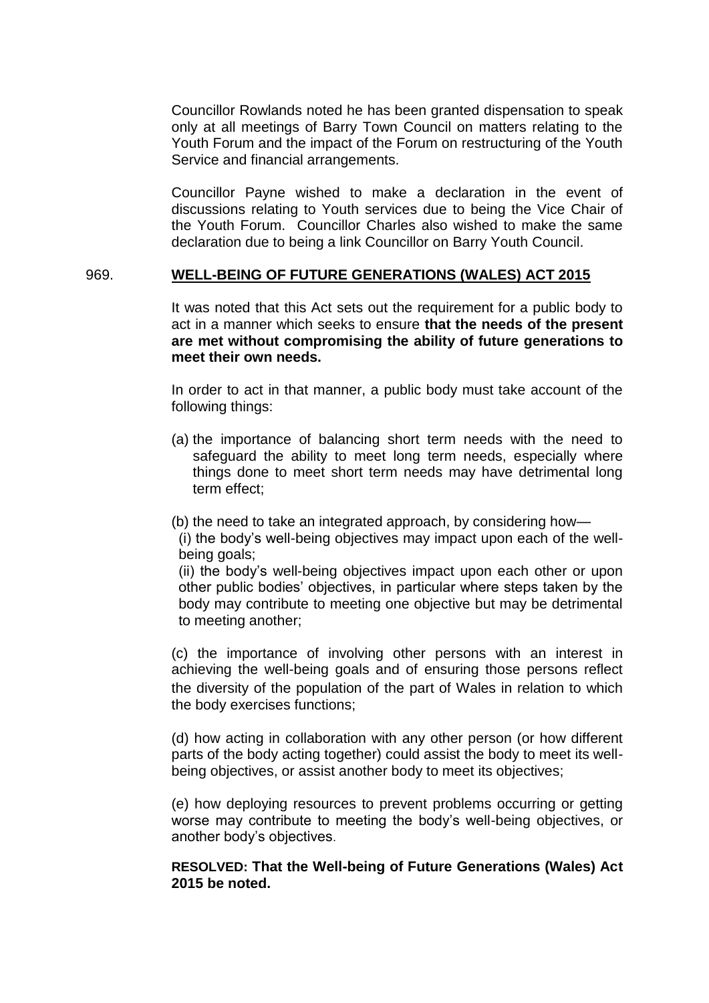Councillor Rowlands noted he has been granted dispensation to speak only at all meetings of Barry Town Council on matters relating to the Youth Forum and the impact of the Forum on restructuring of the Youth Service and financial arrangements.

Councillor Payne wished to make a declaration in the event of discussions relating to Youth services due to being the Vice Chair of the Youth Forum. Councillor Charles also wished to make the same declaration due to being a link Councillor on Barry Youth Council.

### 969. **WELL-BEING OF FUTURE GENERATIONS (WALES) ACT 2015**

It was noted that this Act sets out the requirement for a public body to act in a manner which seeks to ensure **that the needs of the present are met without compromising the ability of future generations to meet their own needs.**

In order to act in that manner, a public body must take account of the following things:

- (a) the importance of balancing short term needs with the need to safeguard the ability to meet long term needs, especially where things done to meet short term needs may have detrimental long term effect;
- (b) the need to take an integrated approach, by considering how—

(i) the body's well-being objectives may impact upon each of the wellbeing goals:

(ii) the body's well-being objectives impact upon each other or upon other public bodies' objectives, in particular where steps taken by the body may contribute to meeting one objective but may be detrimental to meeting another;

(c) the importance of involving other persons with an interest in achieving the well-being goals and of ensuring those persons reflect the diversity of the population of the part of Wales in relation to which the body exercises functions;

(d) how acting in collaboration with any other person (or how different parts of the body acting together) could assist the body to meet its wellbeing objectives, or assist another body to meet its objectives;

(e) how deploying resources to prevent problems occurring or getting worse may contribute to meeting the body's well-being objectives, or another body's objectives.

# **RESOLVED: That the Well-being of Future Generations (Wales) Act 2015 be noted.**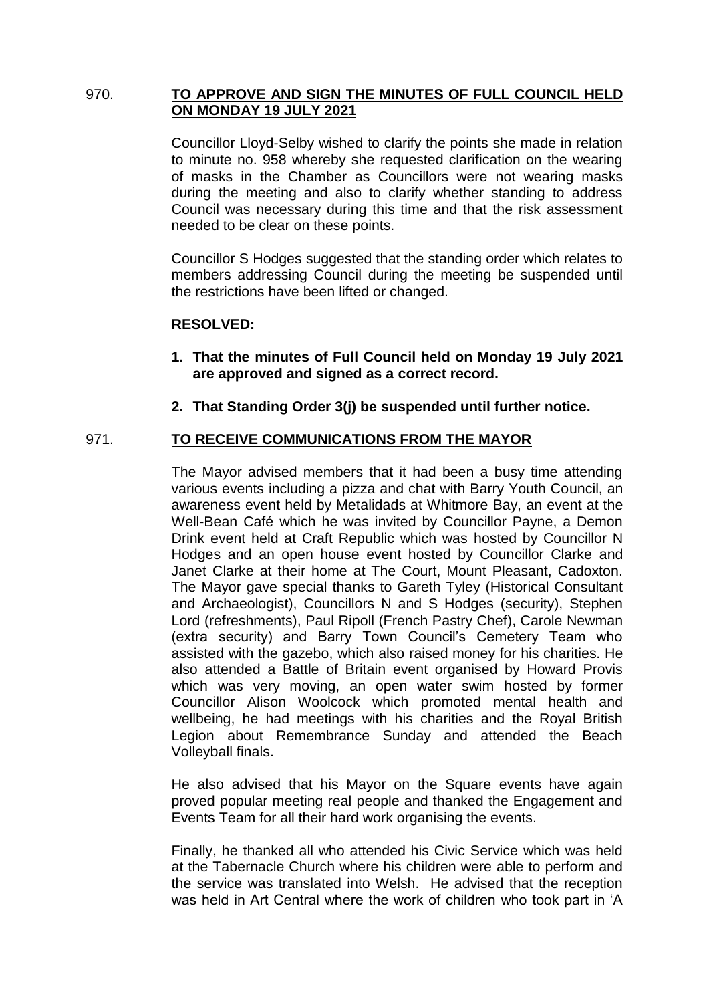# 970. **TO APPROVE AND SIGN THE MINUTES OF FULL COUNCIL HELD ON MONDAY 19 JULY 2021**

Councillor Lloyd-Selby wished to clarify the points she made in relation to minute no. 958 whereby she requested clarification on the wearing of masks in the Chamber as Councillors were not wearing masks during the meeting and also to clarify whether standing to address Council was necessary during this time and that the risk assessment needed to be clear on these points.

Councillor S Hodges suggested that the standing order which relates to members addressing Council during the meeting be suspended until the restrictions have been lifted or changed.

# **RESOLVED:**

- **1. That the minutes of Full Council held on Monday 19 July 2021 are approved and signed as a correct record.**
- **2. That Standing Order 3(j) be suspended until further notice.**

# 971. **TO RECEIVE COMMUNICATIONS FROM THE MAYOR**

The Mayor advised members that it had been a busy time attending various events including a pizza and chat with Barry Youth Council, an awareness event held by Metalidads at Whitmore Bay, an event at the Well-Bean Café which he was invited by Councillor Payne, a Demon Drink event held at Craft Republic which was hosted by Councillor N Hodges and an open house event hosted by Councillor Clarke and Janet Clarke at their home at The Court, Mount Pleasant, Cadoxton. The Mayor gave special thanks to Gareth Tyley (Historical Consultant and Archaeologist), Councillors N and S Hodges (security), Stephen Lord (refreshments), Paul Ripoll (French Pastry Chef), Carole Newman (extra security) and Barry Town Council's Cemetery Team who assisted with the gazebo, which also raised money for his charities. He also attended a Battle of Britain event organised by Howard Provis which was very moving, an open water swim hosted by former Councillor Alison Woolcock which promoted mental health and wellbeing, he had meetings with his charities and the Royal British Legion about Remembrance Sunday and attended the Beach Volleyball finals.

He also advised that his Mayor on the Square events have again proved popular meeting real people and thanked the Engagement and Events Team for all their hard work organising the events.

Finally, he thanked all who attended his Civic Service which was held at the Tabernacle Church where his children were able to perform and the service was translated into Welsh. He advised that the reception was held in Art Central where the work of children who took part in 'A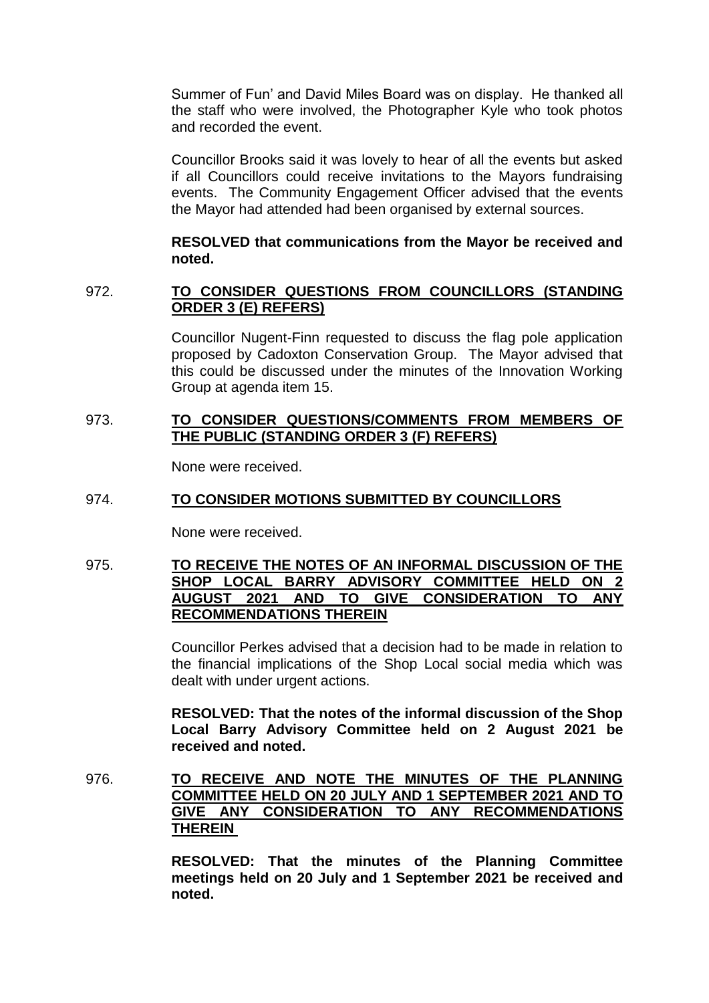Summer of Fun' and David Miles Board was on display. He thanked all the staff who were involved, the Photographer Kyle who took photos and recorded the event.

Councillor Brooks said it was lovely to hear of all the events but asked if all Councillors could receive invitations to the Mayors fundraising events. The Community Engagement Officer advised that the events the Mayor had attended had been organised by external sources.

## **RESOLVED that communications from the Mayor be received and noted.**

# 972. **TO CONSIDER QUESTIONS FROM COUNCILLORS (STANDING ORDER 3 (E) REFERS)**

Councillor Nugent-Finn requested to discuss the flag pole application proposed by Cadoxton Conservation Group. The Mayor advised that this could be discussed under the minutes of the Innovation Working Group at agenda item 15.

# 973. **TO CONSIDER QUESTIONS/COMMENTS FROM MEMBERS OF THE PUBLIC (STANDING ORDER 3 (F) REFERS)**

None were received.

# 974. **TO CONSIDER MOTIONS SUBMITTED BY COUNCILLORS**

None were received.

# 975. **TO RECEIVE THE NOTES OF AN INFORMAL DISCUSSION OF THE SHOP LOCAL BARRY ADVISORY COMMITTEE HELD ON 2 AUGUST 2021 AND TO GIVE CONSIDERATION TO ANY RECOMMENDATIONS THEREIN**

Councillor Perkes advised that a decision had to be made in relation to the financial implications of the Shop Local social media which was dealt with under urgent actions.

**RESOLVED: That the notes of the informal discussion of the Shop Local Barry Advisory Committee held on 2 August 2021 be received and noted.**

# 976. **TO RECEIVE AND NOTE THE MINUTES OF THE PLANNING COMMITTEE HELD ON 20 JULY AND 1 SEPTEMBER 2021 AND TO GIVE ANY CONSIDERATION TO ANY RECOMMENDATIONS THEREIN**

**RESOLVED: That the minutes of the Planning Committee meetings held on 20 July and 1 September 2021 be received and noted.**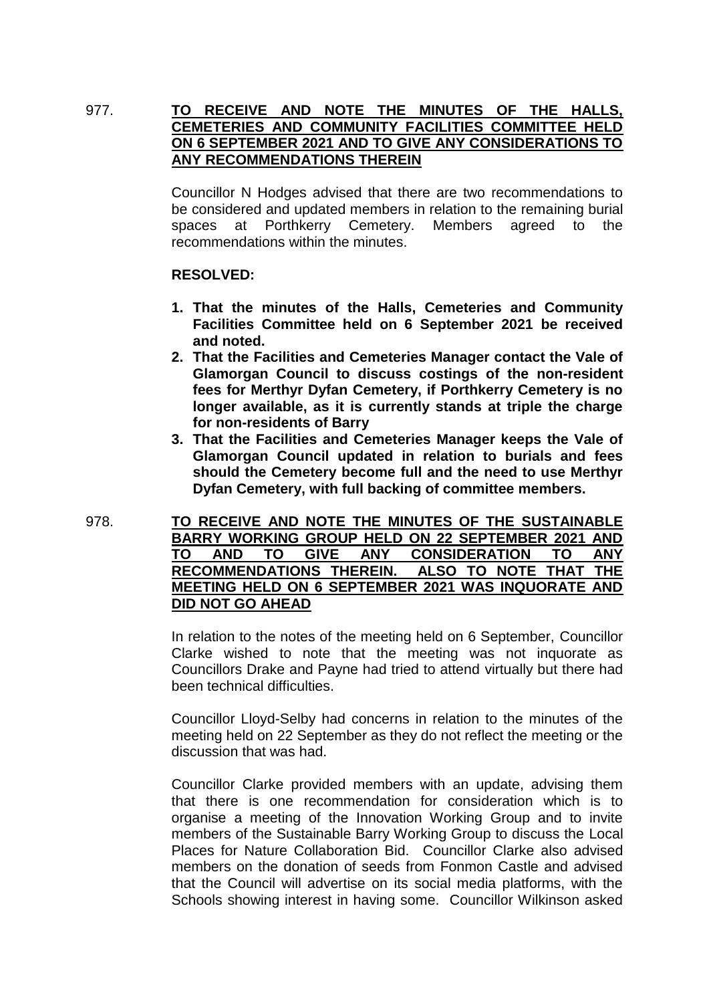# 977. **TO RECEIVE AND NOTE THE MINUTES OF THE HALLS, CEMETERIES AND COMMUNITY FACILITIES COMMITTEE HELD ON 6 SEPTEMBER 2021 AND TO GIVE ANY CONSIDERATIONS TO ANY RECOMMENDATIONS THEREIN**

Councillor N Hodges advised that there are two recommendations to be considered and updated members in relation to the remaining burial spaces at Porthkerry Cemetery. Members agreed to the recommendations within the minutes.

### **RESOLVED:**

- **1. That the minutes of the Halls, Cemeteries and Community Facilities Committee held on 6 September 2021 be received and noted.**
- **2. That the Facilities and Cemeteries Manager contact the Vale of Glamorgan Council to discuss costings of the non-resident fees for Merthyr Dyfan Cemetery, if Porthkerry Cemetery is no longer available, as it is currently stands at triple the charge for non-residents of Barry**
- **3. That the Facilities and Cemeteries Manager keeps the Vale of Glamorgan Council updated in relation to burials and fees should the Cemetery become full and the need to use Merthyr Dyfan Cemetery, with full backing of committee members.**

978. **TO RECEIVE AND NOTE THE MINUTES OF THE SUSTAINABLE BARRY WORKING GROUP HELD ON 22 SEPTEMBER 2021 AND TO AND TO GIVE ANY CONSIDERATION TO ANY RECOMMENDATIONS THEREIN. ALSO TO NOTE THAT THE MEETING HELD ON 6 SEPTEMBER 2021 WAS INQUORATE AND DID NOT GO AHEAD** 

> In relation to the notes of the meeting held on 6 September, Councillor Clarke wished to note that the meeting was not inquorate as Councillors Drake and Payne had tried to attend virtually but there had been technical difficulties.

> Councillor Lloyd-Selby had concerns in relation to the minutes of the meeting held on 22 September as they do not reflect the meeting or the discussion that was had.

> Councillor Clarke provided members with an update, advising them that there is one recommendation for consideration which is to organise a meeting of the Innovation Working Group and to invite members of the Sustainable Barry Working Group to discuss the Local Places for Nature Collaboration Bid. Councillor Clarke also advised members on the donation of seeds from Fonmon Castle and advised that the Council will advertise on its social media platforms, with the Schools showing interest in having some. Councillor Wilkinson asked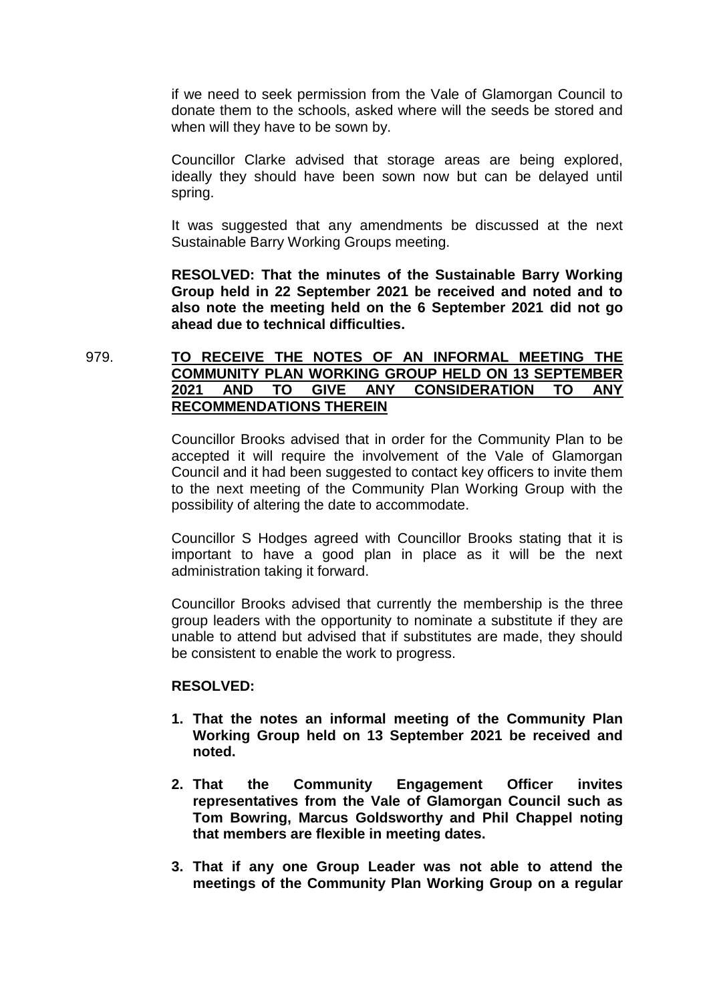if we need to seek permission from the Vale of Glamorgan Council to donate them to the schools, asked where will the seeds be stored and when will they have to be sown by.

Councillor Clarke advised that storage areas are being explored, ideally they should have been sown now but can be delayed until spring.

It was suggested that any amendments be discussed at the next Sustainable Barry Working Groups meeting.

**RESOLVED: That the minutes of the Sustainable Barry Working Group held in 22 September 2021 be received and noted and to also note the meeting held on the 6 September 2021 did not go ahead due to technical difficulties.** 

# 979. **TO RECEIVE THE NOTES OF AN INFORMAL MEETING THE COMMUNITY PLAN WORKING GROUP HELD ON 13 SEPTEMBER 2021 AND TO GIVE ANY CONSIDERATION TO ANY RECOMMENDATIONS THEREIN**

Councillor Brooks advised that in order for the Community Plan to be accepted it will require the involvement of the Vale of Glamorgan Council and it had been suggested to contact key officers to invite them to the next meeting of the Community Plan Working Group with the possibility of altering the date to accommodate.

Councillor S Hodges agreed with Councillor Brooks stating that it is important to have a good plan in place as it will be the next administration taking it forward.

Councillor Brooks advised that currently the membership is the three group leaders with the opportunity to nominate a substitute if they are unable to attend but advised that if substitutes are made, they should be consistent to enable the work to progress.

### **RESOLVED:**

- **1. That the notes an informal meeting of the Community Plan Working Group held on 13 September 2021 be received and noted.**
- **2. That the Community Engagement Officer invites representatives from the Vale of Glamorgan Council such as Tom Bowring, Marcus Goldsworthy and Phil Chappel noting that members are flexible in meeting dates.**
- **3. That if any one Group Leader was not able to attend the meetings of the Community Plan Working Group on a regular**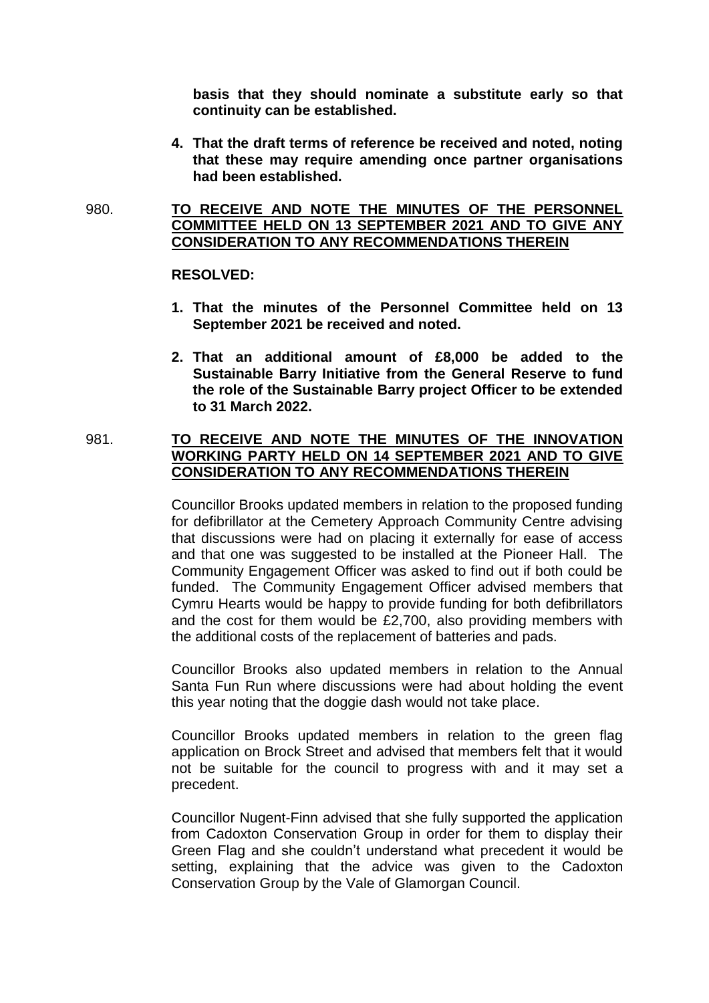**basis that they should nominate a substitute early so that continuity can be established.** 

**4. That the draft terms of reference be received and noted, noting that these may require amending once partner organisations had been established.** 

## 980. **TO RECEIVE AND NOTE THE MINUTES OF THE PERSONNEL COMMITTEE HELD ON 13 SEPTEMBER 2021 AND TO GIVE ANY CONSIDERATION TO ANY RECOMMENDATIONS THEREIN**

#### **RESOLVED:**

- **1. That the minutes of the Personnel Committee held on 13 September 2021 be received and noted.**
- **2. That an additional amount of £8,000 be added to the Sustainable Barry Initiative from the General Reserve to fund the role of the Sustainable Barry project Officer to be extended to 31 March 2022.**

# 981. **TO RECEIVE AND NOTE THE MINUTES OF THE INNOVATION WORKING PARTY HELD ON 14 SEPTEMBER 2021 AND TO GIVE CONSIDERATION TO ANY RECOMMENDATIONS THEREIN**

Councillor Brooks updated members in relation to the proposed funding for defibrillator at the Cemetery Approach Community Centre advising that discussions were had on placing it externally for ease of access and that one was suggested to be installed at the Pioneer Hall. The Community Engagement Officer was asked to find out if both could be funded. The Community Engagement Officer advised members that Cymru Hearts would be happy to provide funding for both defibrillators and the cost for them would be £2,700, also providing members with the additional costs of the replacement of batteries and pads.

Councillor Brooks also updated members in relation to the Annual Santa Fun Run where discussions were had about holding the event this year noting that the doggie dash would not take place.

Councillor Brooks updated members in relation to the green flag application on Brock Street and advised that members felt that it would not be suitable for the council to progress with and it may set a precedent.

Councillor Nugent-Finn advised that she fully supported the application from Cadoxton Conservation Group in order for them to display their Green Flag and she couldn't understand what precedent it would be setting, explaining that the advice was given to the Cadoxton Conservation Group by the Vale of Glamorgan Council.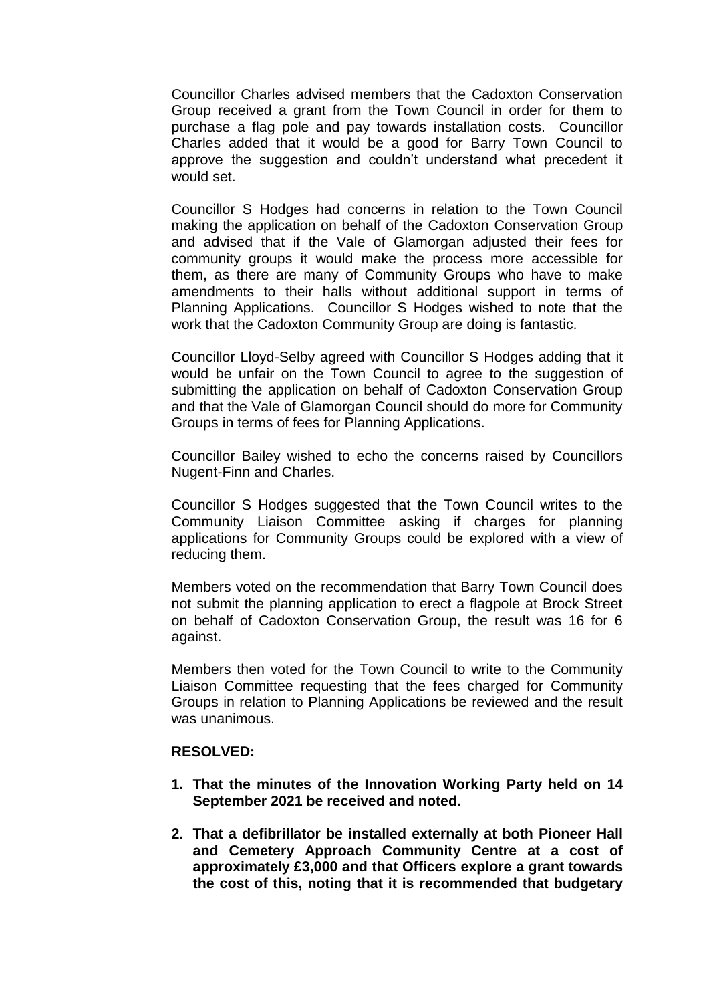Councillor Charles advised members that the Cadoxton Conservation Group received a grant from the Town Council in order for them to purchase a flag pole and pay towards installation costs. Councillor Charles added that it would be a good for Barry Town Council to approve the suggestion and couldn't understand what precedent it would set.

Councillor S Hodges had concerns in relation to the Town Council making the application on behalf of the Cadoxton Conservation Group and advised that if the Vale of Glamorgan adjusted their fees for community groups it would make the process more accessible for them, as there are many of Community Groups who have to make amendments to their halls without additional support in terms of Planning Applications. Councillor S Hodges wished to note that the work that the Cadoxton Community Group are doing is fantastic.

Councillor Lloyd-Selby agreed with Councillor S Hodges adding that it would be unfair on the Town Council to agree to the suggestion of submitting the application on behalf of Cadoxton Conservation Group and that the Vale of Glamorgan Council should do more for Community Groups in terms of fees for Planning Applications.

Councillor Bailey wished to echo the concerns raised by Councillors Nugent-Finn and Charles.

Councillor S Hodges suggested that the Town Council writes to the Community Liaison Committee asking if charges for planning applications for Community Groups could be explored with a view of reducing them.

Members voted on the recommendation that Barry Town Council does not submit the planning application to erect a flagpole at Brock Street on behalf of Cadoxton Conservation Group, the result was 16 for 6 against.

Members then voted for the Town Council to write to the Community Liaison Committee requesting that the fees charged for Community Groups in relation to Planning Applications be reviewed and the result was unanimous.

### **RESOLVED:**

- **1. That the minutes of the Innovation Working Party held on 14 September 2021 be received and noted.**
- **2. That a defibrillator be installed externally at both Pioneer Hall and Cemetery Approach Community Centre at a cost of approximately £3,000 and that Officers explore a grant towards the cost of this, noting that it is recommended that budgetary**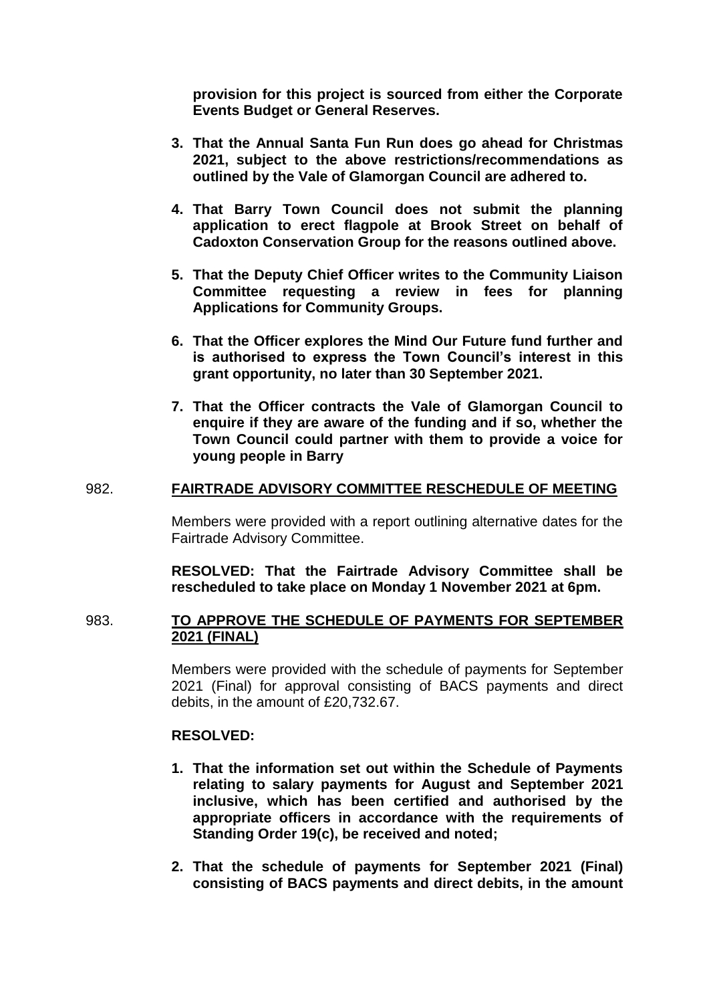**provision for this project is sourced from either the Corporate Events Budget or General Reserves.** 

- **3. That the Annual Santa Fun Run does go ahead for Christmas 2021, subject to the above restrictions/recommendations as outlined by the Vale of Glamorgan Council are adhered to.**
- **4. That Barry Town Council does not submit the planning application to erect flagpole at Brook Street on behalf of Cadoxton Conservation Group for the reasons outlined above.**
- **5. That the Deputy Chief Officer writes to the Community Liaison Committee requesting a review in fees for planning Applications for Community Groups.**
- **6. That the Officer explores the Mind Our Future fund further and is authorised to express the Town Council's interest in this grant opportunity, no later than 30 September 2021.**
- **7. That the Officer contracts the Vale of Glamorgan Council to enquire if they are aware of the funding and if so, whether the Town Council could partner with them to provide a voice for young people in Barry**

### 982. **FAIRTRADE ADVISORY COMMITTEE RESCHEDULE OF MEETING**

Members were provided with a report outlining alternative dates for the Fairtrade Advisory Committee.

**RESOLVED: That the Fairtrade Advisory Committee shall be rescheduled to take place on Monday 1 November 2021 at 6pm.**

### 983. **TO APPROVE THE SCHEDULE OF PAYMENTS FOR SEPTEMBER 2021 (FINAL)**

Members were provided with the schedule of payments for September 2021 (Final) for approval consisting of BACS payments and direct debits, in the amount of £20,732.67.

### **RESOLVED:**

- **1. That the information set out within the Schedule of Payments relating to salary payments for August and September 2021 inclusive, which has been certified and authorised by the appropriate officers in accordance with the requirements of Standing Order 19(c), be received and noted;**
- **2. That the schedule of payments for September 2021 (Final) consisting of BACS payments and direct debits, in the amount**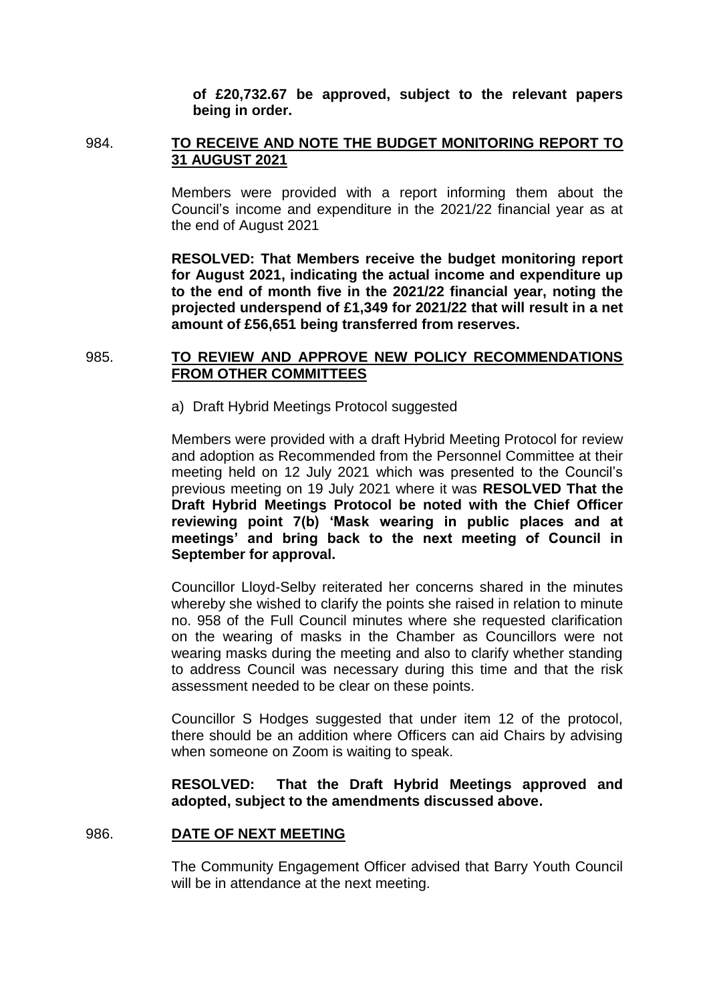**of £20,732.67 be approved, subject to the relevant papers being in order.** 

# 984. **TO RECEIVE AND NOTE THE BUDGET MONITORING REPORT TO 31 AUGUST 2021**

Members were provided with a report informing them about the Council's income and expenditure in the 2021/22 financial year as at the end of August 2021

**RESOLVED: That Members receive the budget monitoring report for August 2021, indicating the actual income and expenditure up to the end of month five in the 2021/22 financial year, noting the projected underspend of £1,349 for 2021/22 that will result in a net amount of £56,651 being transferred from reserves.** 

# 985. **TO REVIEW AND APPROVE NEW POLICY RECOMMENDATIONS FROM OTHER COMMITTEES**

a) Draft Hybrid Meetings Protocol suggested

Members were provided with a draft Hybrid Meeting Protocol for review and adoption as Recommended from the Personnel Committee at their meeting held on 12 July 2021 which was presented to the Council's previous meeting on 19 July 2021 where it was **RESOLVED That the Draft Hybrid Meetings Protocol be noted with the Chief Officer reviewing point 7(b) 'Mask wearing in public places and at meetings' and bring back to the next meeting of Council in September for approval.**

Councillor Lloyd-Selby reiterated her concerns shared in the minutes whereby she wished to clarify the points she raised in relation to minute no. 958 of the Full Council minutes where she requested clarification on the wearing of masks in the Chamber as Councillors were not wearing masks during the meeting and also to clarify whether standing to address Council was necessary during this time and that the risk assessment needed to be clear on these points.

Councillor S Hodges suggested that under item 12 of the protocol, there should be an addition where Officers can aid Chairs by advising when someone on Zoom is waiting to speak.

# **RESOLVED: That the Draft Hybrid Meetings approved and adopted, subject to the amendments discussed above.**

### 986. **DATE OF NEXT MEETING**

The Community Engagement Officer advised that Barry Youth Council will be in attendance at the next meeting.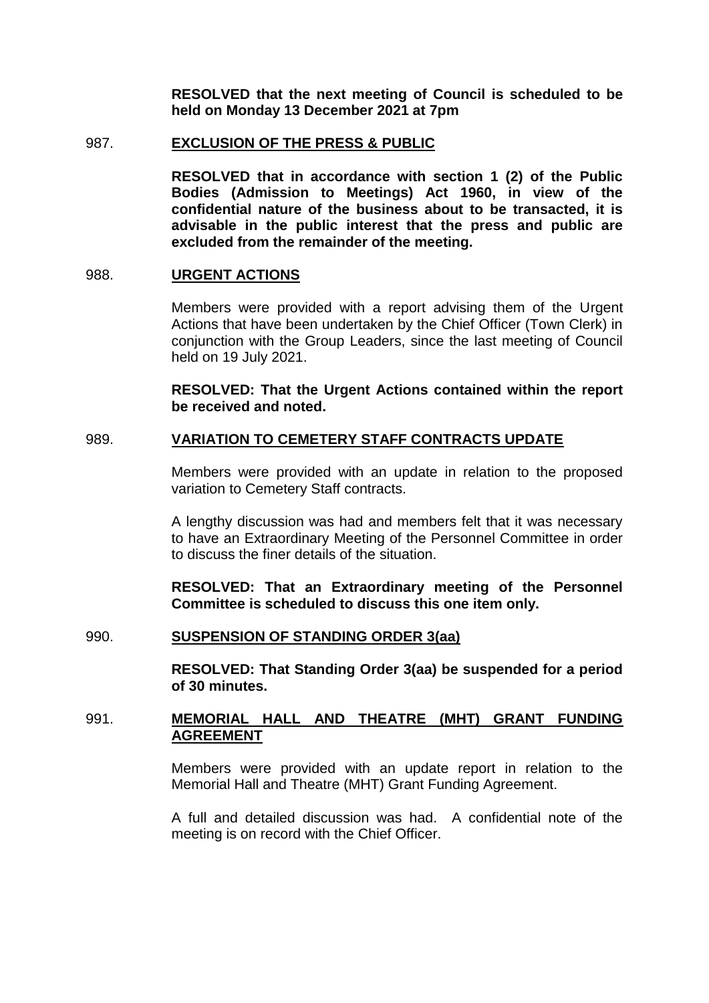**RESOLVED that the next meeting of Council is scheduled to be held on Monday 13 December 2021 at 7pm**

#### 987. **EXCLUSION OF THE PRESS & PUBLIC**

**RESOLVED that in accordance with section 1 (2) of the Public Bodies (Admission to Meetings) Act 1960, in view of the confidential nature of the business about to be transacted, it is advisable in the public interest that the press and public are excluded from the remainder of the meeting.**

#### 988. **URGENT ACTIONS**

Members were provided with a report advising them of the Urgent Actions that have been undertaken by the Chief Officer (Town Clerk) in conjunction with the Group Leaders, since the last meeting of Council held on 19 July 2021.

**RESOLVED: That the Urgent Actions contained within the report be received and noted.**

## 989. **VARIATION TO CEMETERY STAFF CONTRACTS UPDATE**

Members were provided with an update in relation to the proposed variation to Cemetery Staff contracts.

A lengthy discussion was had and members felt that it was necessary to have an Extraordinary Meeting of the Personnel Committee in order to discuss the finer details of the situation.

**RESOLVED: That an Extraordinary meeting of the Personnel Committee is scheduled to discuss this one item only.** 

## 990. **SUSPENSION OF STANDING ORDER 3(aa)**

**RESOLVED: That Standing Order 3(aa) be suspended for a period of 30 minutes.**

# 991. **MEMORIAL HALL AND THEATRE (MHT) GRANT FUNDING AGREEMENT**

Members were provided with an update report in relation to the Memorial Hall and Theatre (MHT) Grant Funding Agreement.

A full and detailed discussion was had. A confidential note of the meeting is on record with the Chief Officer.